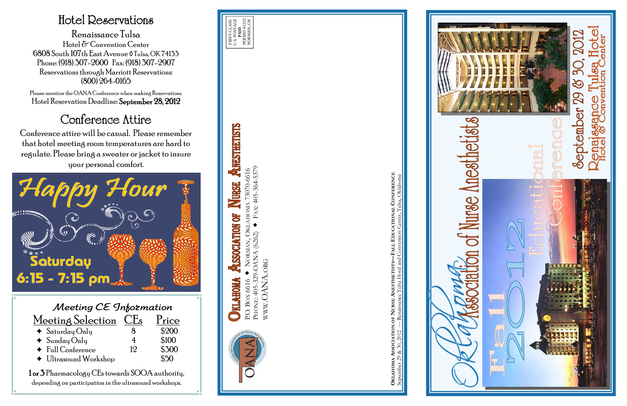| Meeting CE Information              |            |       |  |  |
|-------------------------------------|------------|-------|--|--|
| Meeting Selection                   | <b>CEs</b> | Price |  |  |
| $\triangleleft$ Saturday Only       |            | \$200 |  |  |
| $\triangleleft$ Sunday Only         | 4          | \$100 |  |  |
| $\triangleleft$ Full Conference     | 12         | \$300 |  |  |
| $\blacklozenge$ Ultrasound Workshop |            | `5∩   |  |  |

1 or 3 Pharmacology CEs towards SOOA authority, depending on participation in the ultrasound workshops.

## Hotel Reservations

Renaissance Tulsa Hotel & Convention Center 6808 South 107th East Avenue ◊ Tulsa, OK 74133 Phone: (918) 307-2600 Fax: (918) 307-2907 Reservations through Marriott Reservations: (800) 264-0165

Please mention the OANA Conference when making Reservations. Hotel Reservation Deadline: September 28, 2012

# Conference Attire

Conference attire will be casual. Please remember that hotel meeting room temperatures are hard to regulate. Please bring a sweater or jacket to insure your personal comfort.



PHONE: 405-329-OANA (6262) FAX: 405-364-5379

WWW.OANA.ORG

WWW.OANA.ORG

**OKLAHOMA ASSOCIATION OF NURSE ANESTHETISTS—FALL EDUCATIONAL CONFERENCE** September 29 & 30, 2012 — Renaissance Tulsa Hotel and Convention Center, Tulsa, Oklahoma





ANESTHETISTS AHOMA 73070-6616<br>• FAX: 405-364-5379 P.O. BOX 6616 NORMAN, OKLAHOMA 73070-6616 NURSE S SSOCIATION OKL. P.O. Box 6616 ◆ Norman, Oh<br>Phone: 405-329-OANA (6262) P.O. BOX 6616 **KILAHOMA**